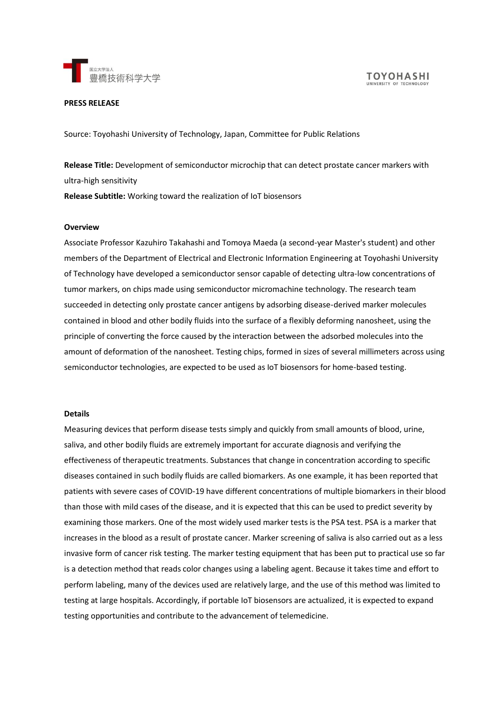

#### **PRESS RELEASE**

Source: Toyohashi University of Technology, Japan, Committee for Public Relations

**Release Title:** Development of semiconductor microchip that can detect prostate cancer markers with ultra-high sensitivity

**Release Subtitle:** Working toward the realization of IoT biosensors

### **Overview**

Associate Professor Kazuhiro Takahashi and Tomoya Maeda (a second-year Master's student) and other members of the Department of Electrical and Electronic Information Engineering at Toyohashi University of Technology have developed a semiconductor sensor capable of detecting ultra-low concentrations of tumor markers, on chips made using semiconductor micromachine technology. The research team succeeded in detecting only prostate cancer antigens by adsorbing disease-derived marker molecules contained in blood and other bodily fluids into the surface of a flexibly deforming nanosheet, using the principle of converting the force caused by the interaction between the adsorbed molecules into the amount of deformation of the nanosheet. Testing chips, formed in sizes of several millimeters across using semiconductor technologies, are expected to be used as IoT biosensors for home-based testing.

#### **Details**

Measuring devices that perform disease tests simply and quickly from small amounts of blood, urine, saliva, and other bodily fluids are extremely important for accurate diagnosis and verifying the effectiveness of therapeutic treatments. Substances that change in concentration according to specific diseases contained in such bodily fluids are called biomarkers. As one example, it has been reported that patients with severe cases of COVID-19 have different concentrations of multiple biomarkers in their blood than those with mild cases of the disease, and it is expected that this can be used to predict severity by examining those markers. One of the most widely used marker tests is the PSA test. PSA is a marker that increases in the blood as a result of prostate cancer. Marker screening of saliva is also carried out as a less invasive form of cancer risk testing. The marker testing equipment that has been put to practical use so far is a detection method that reads color changes using a labeling agent. Because it takes time and effort to perform labeling, many of the devices used are relatively large, and the use of this method was limited to testing at large hospitals. Accordingly, if portable IoT biosensors are actualized, it is expected to expand testing opportunities and contribute to the advancement of telemedicine.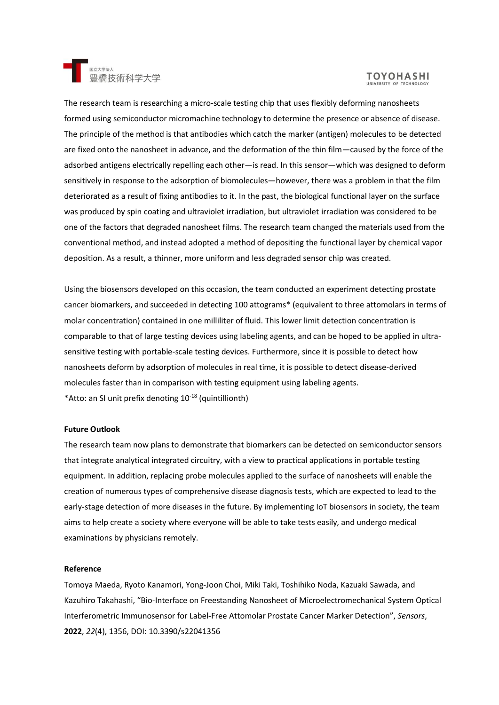

# **TOYOHASHI**

The research team is researching a micro-scale testing chip that uses flexibly deforming nanosheets formed using semiconductor micromachine technology to determine the presence or absence of disease. The principle of the method is that antibodies which catch the marker (antigen) molecules to be detected are fixed onto the nanosheet in advance, and the deformation of the thin film—caused by the force of the adsorbed antigens electrically repelling each other—is read. In this sensor—which was designed to deform sensitively in response to the adsorption of biomolecules—however, there was a problem in that the film deteriorated as a result of fixing antibodies to it. In the past, the biological functional layer on the surface was produced by spin coating and ultraviolet irradiation, but ultraviolet irradiation was considered to be one of the factors that degraded nanosheet films. The research team changed the materials used from the conventional method, and instead adopted a method of depositing the functional layer by chemical vapor deposition. As a result, a thinner, more uniform and less degraded sensor chip was created.

Using the biosensors developed on this occasion, the team conducted an experiment detecting prostate cancer biomarkers, and succeeded in detecting 100 attograms\* (equivalent to three attomolars in terms of molar concentration) contained in one milliliter of fluid. This lower limit detection concentration is comparable to that of large testing devices using labeling agents, and can be hoped to be applied in ultrasensitive testing with portable-scale testing devices. Furthermore, since it is possible to detect how nanosheets deform by adsorption of molecules in real time, it is possible to detect disease-derived molecules faster than in comparison with testing equipment using labeling agents. \*Atto: an SI unit prefix denoting 10-18 (quintillionth)

## **Future Outlook**

The research team now plans to demonstrate that biomarkers can be detected on semiconductor sensors that integrate analytical integrated circuitry, with a view to practical applications in portable testing equipment. In addition, replacing probe molecules applied to the surface of nanosheets will enable the creation of numerous types of comprehensive disease diagnosis tests, which are expected to lead to the early-stage detection of more diseases in the future. By implementing IoT biosensors in society, the team aims to help create a society where everyone will be able to take tests easily, and undergo medical examinations by physicians remotely.

### **Reference**

Tomoya Maeda, Ryoto Kanamori, Yong-Joon Choi, Miki Taki, Toshihiko Noda, Kazuaki Sawada, and Kazuhiro Takahashi, "Bio-Interface on Freestanding Nanosheet of Microelectromechanical System Optical Interferometric Immunosensor for Label-Free Attomolar Prostate Cancer Marker Detection", *Sensors*, **2022**, *22*(4), 1356, DOI: 10.3390/s22041356